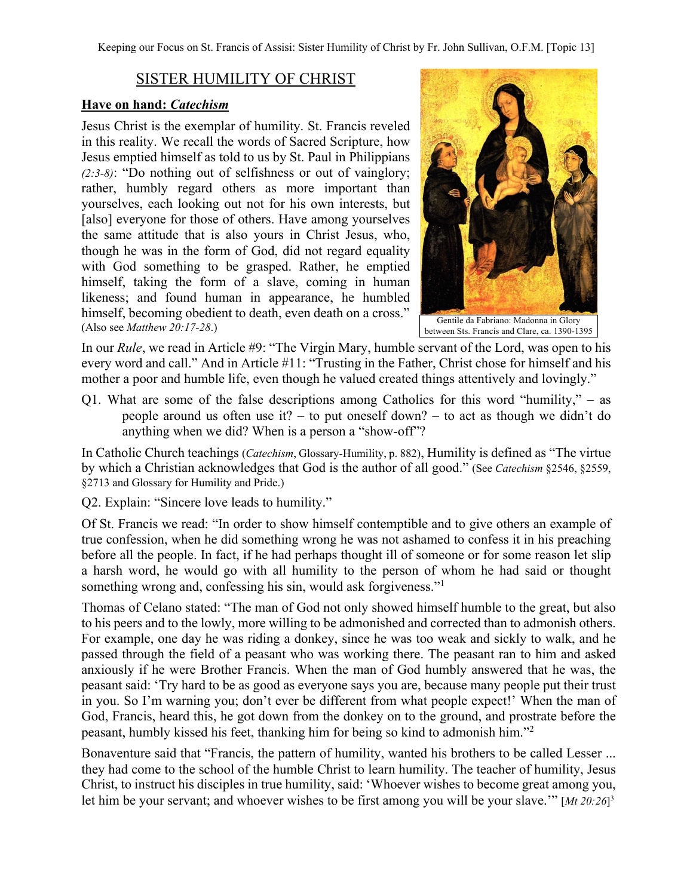## SISTER HUMILITY OF CHRIST

## **Have on hand:** *Catechism*

Jesus Christ is the exemplar of humility. St. Francis reveled in this reality. We recall the words of Sacred Scripture, how Jesus emptied himself as told to us by St. Paul in Philippians *(2:3-8)*: "Do nothing out of selfishness or out of vainglory; rather, humbly regard others as more important than yourselves, each looking out not for his own interests, but [also] everyone for those of others. Have among yourselves the same attitude that is also yours in Christ Jesus, who, though he was in the form of God, did not regard equality with God something to be grasped. Rather, he emptied himself, taking the form of a slave, coming in human likeness; and found human in appearance, he humbled himself, becoming obedient to death, even death on a cross." (Also see *Matthew 20:17-28*.)



between Sts. Francis and Clare, ca. 1390-1395

In our *Rule*, we read in Article #9: "The Virgin Mary, humble servant of the Lord, was open to his every word and call." And in Article #11: "Trusting in the Father, Christ chose for himself and his mother a poor and humble life, even though he valued created things attentively and lovingly."

Q1. What are some of the false descriptions among Catholics for this word "humility," – as people around us often use it? – to put oneself down? – to act as though we didn't do anything when we did? When is a person a "show-off"?

In Catholic Church teachings (*Catechism*, Glossary-Humility, p. 882), Humility is defined as "The virtue by which a Christian acknowledges that God is the author of all good." (See *Catechism* §2546, §2559, §2713 and Glossary for Humility and Pride.)

Q2. Explain: "Sincere love leads to humility."

Of St. Francis we read: "In order to show himself contemptible and to give others an example of true confession, when he did something wrong he was not ashamed to confess it in his preaching before all the people. In fact, if he had perhaps thought ill of someone or for some reason let slip a harsh word, he would go with all humility to the person of whom he had said or thought something wrong and, confessing his sin, would ask forgiveness."<sup>1</sup>

Thomas of Celano stated: "The man of God not only showed himself humble to the great, but also to his peers and to the lowly, more willing to be admonished and corrected than to admonish others. For example, one day he was riding a donkey, since he was too weak and sickly to walk, and he passed through the field of a peasant who was working there. The peasant ran to him and asked anxiously if he were Brother Francis. When the man of God humbly answered that he was, the peasant said: 'Try hard to be as good as everyone says you are, because many people put their trust in you. So I'm warning you; don't ever be different from what people expect!' When the man of God, Francis, heard this, he got down from the donkey on to the ground, and prostrate before the peasant, humbly kissed his feet, thanking him for being so kind to admonish him."2

Bonaventure said that "Francis, the pattern of humility, wanted his brothers to be called Lesser ... they had come to the school of the humble Christ to learn humility. The teacher of humility, Jesus Christ, to instruct his disciples in true humility, said: 'Whoever wishes to become great among you, let him be your servant; and whoever wishes to be first among you will be your slave.'" [*Mt 20:26*] 3